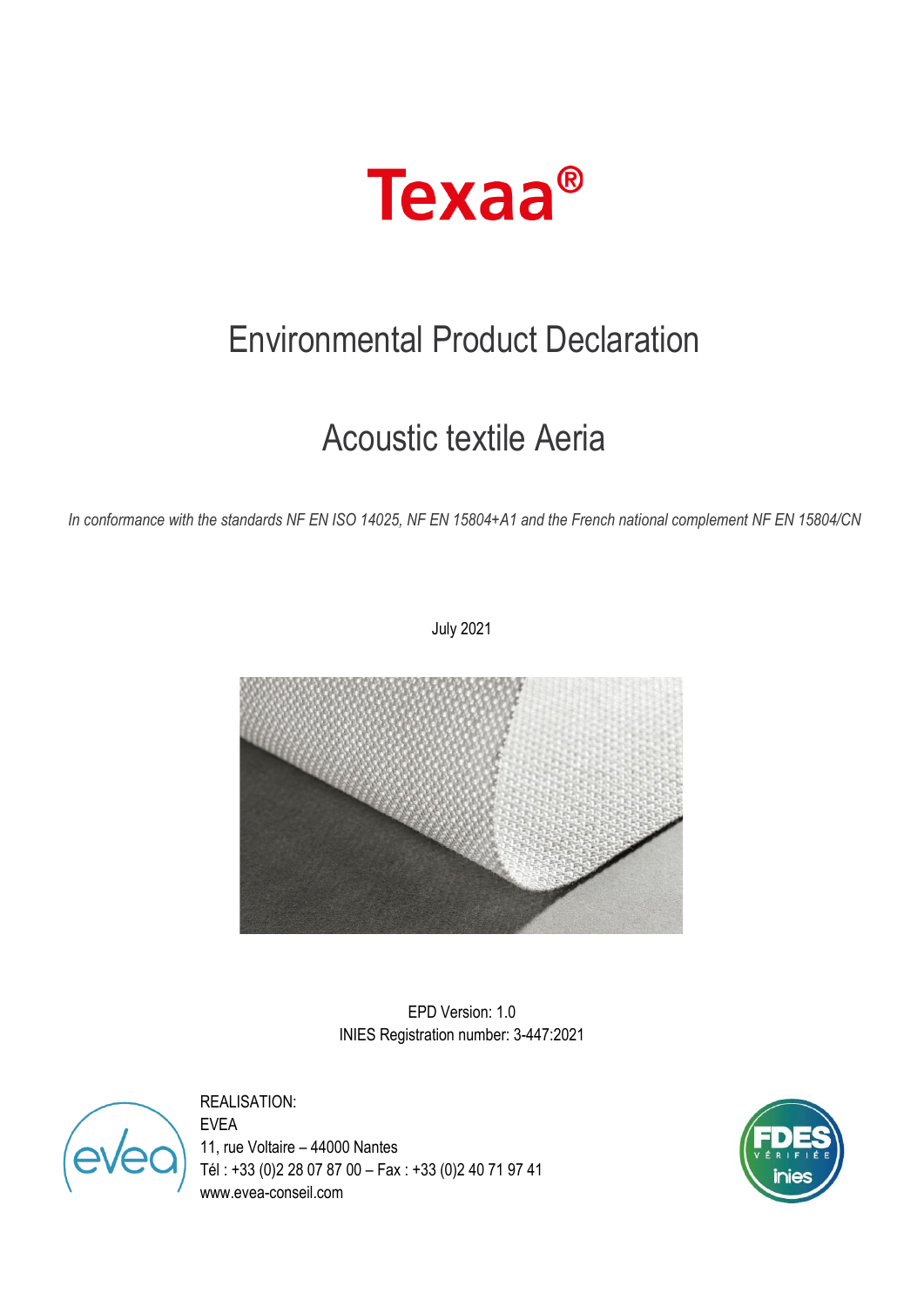

# Environmental Product Declaration

# Acoustic textile Aeria

*In conformance with the standards NF EN ISO 14025, NF EN 15804+A1 and the French national complement NF EN 15804/CN*

July 2021



EPD Version: 1.0 INIES Registration number: 3-447:2021

REALISATION:

EVEA 11, rue Voltaire – 44000 Nantes Tél : +33 (0)2 28 07 87 00 – Fax : +33 (0)2 40 71 97 41 www.evea-conseil.com

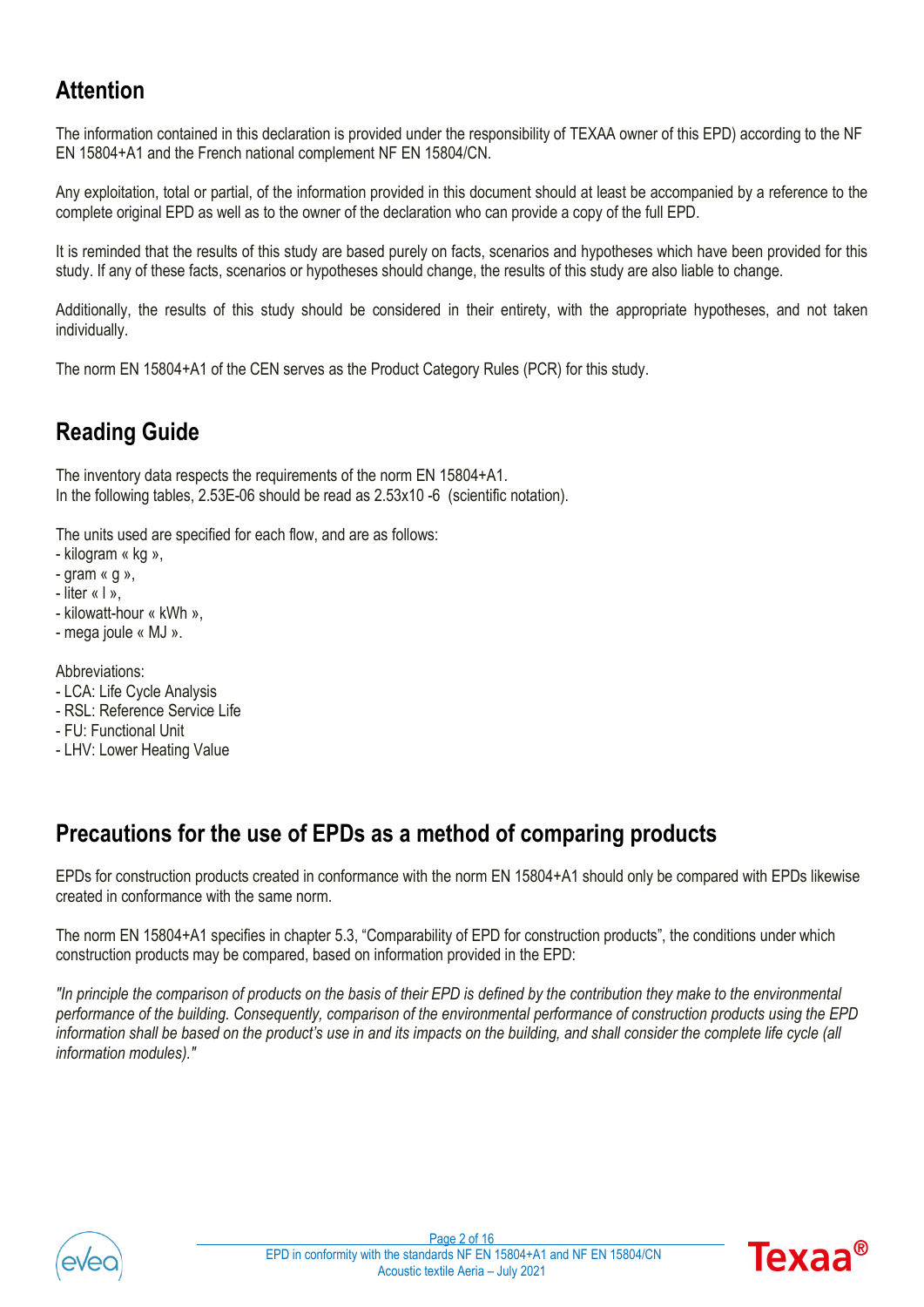### **Attention**

The information contained in this declaration is provided under the responsibility of TEXAA owner of this EPD) according to the NF EN 15804+A1 and the French national complement NF EN 15804/CN.

Any exploitation, total or partial, of the information provided in this document should at least be accompanied by a reference to the complete original EPD as well as to the owner of the declaration who can provide a copy of the full EPD.

It is reminded that the results of this study are based purely on facts, scenarios and hypotheses which have been provided for this study. If any of these facts, scenarios or hypotheses should change, the results of this study are also liable to change.

Additionally, the results of this study should be considered in their entirety, with the appropriate hypotheses, and not taken individually.

The norm EN 15804+A1 of the CEN serves as the Product Category Rules (PCR) for this study.

# **Reading Guide**

The inventory data respects the requirements of the norm EN 15804+A1. In the following tables, 2.53E-06 should be read as 2.53x10 -6 (scientific notation).

The units used are specified for each flow, and are as follows:

- kilogram « kg »,
- gram « g »,
- liter « l »,
- kilowatt-hour « kWh »,
- mega joule « MJ ».

Abbreviations:

- LCA: Life Cycle Analysis
- RSL: Reference Service Life
- FU: Functional Unit
- LHV: Lower Heating Value

### **Precautions for the use of EPDs as a method of comparing products**

EPDs for construction products created in conformance with the norm EN 15804+A1 should only be compared with EPDs likewise created in conformance with the same norm.

The norm EN 15804+A1 specifies in chapter 5.3, "Comparability of EPD for construction products", the conditions under which construction products may be compared, based on information provided in the EPD:

*"In principle the comparison of products on the basis of their EPD is defined by the contribution they make to the environmental performance of the building. Consequently, comparison of the environmental performance of construction products using the EPD information shall be based on the product's use in and its impacts on the building, and shall consider the complete life cycle (all information modules)."*



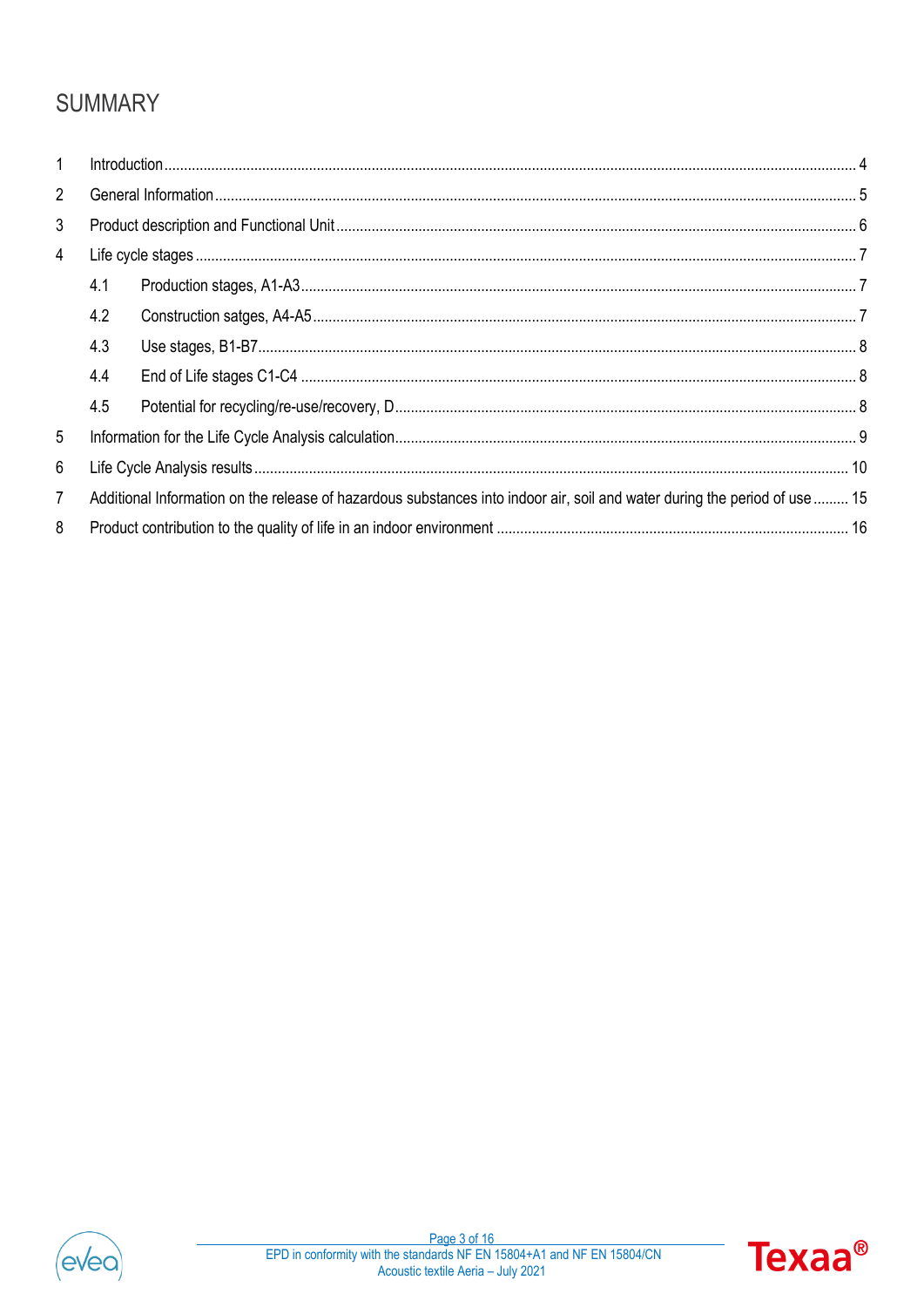# **SUMMARY**

| $\mathbf{1}$   |                                                                                                                            |  |  |  |  |  |  |
|----------------|----------------------------------------------------------------------------------------------------------------------------|--|--|--|--|--|--|
| $\overline{2}$ |                                                                                                                            |  |  |  |  |  |  |
| 3              |                                                                                                                            |  |  |  |  |  |  |
| 4              |                                                                                                                            |  |  |  |  |  |  |
|                | 4.1                                                                                                                        |  |  |  |  |  |  |
|                | 4.2                                                                                                                        |  |  |  |  |  |  |
|                | 4.3                                                                                                                        |  |  |  |  |  |  |
|                | 4.4                                                                                                                        |  |  |  |  |  |  |
|                | 4.5                                                                                                                        |  |  |  |  |  |  |
| 5              |                                                                                                                            |  |  |  |  |  |  |
| 6              |                                                                                                                            |  |  |  |  |  |  |
| $\overline{7}$ | Additional Information on the release of hazardous substances into indoor air, soil and water during the period of use  15 |  |  |  |  |  |  |
| 8              |                                                                                                                            |  |  |  |  |  |  |



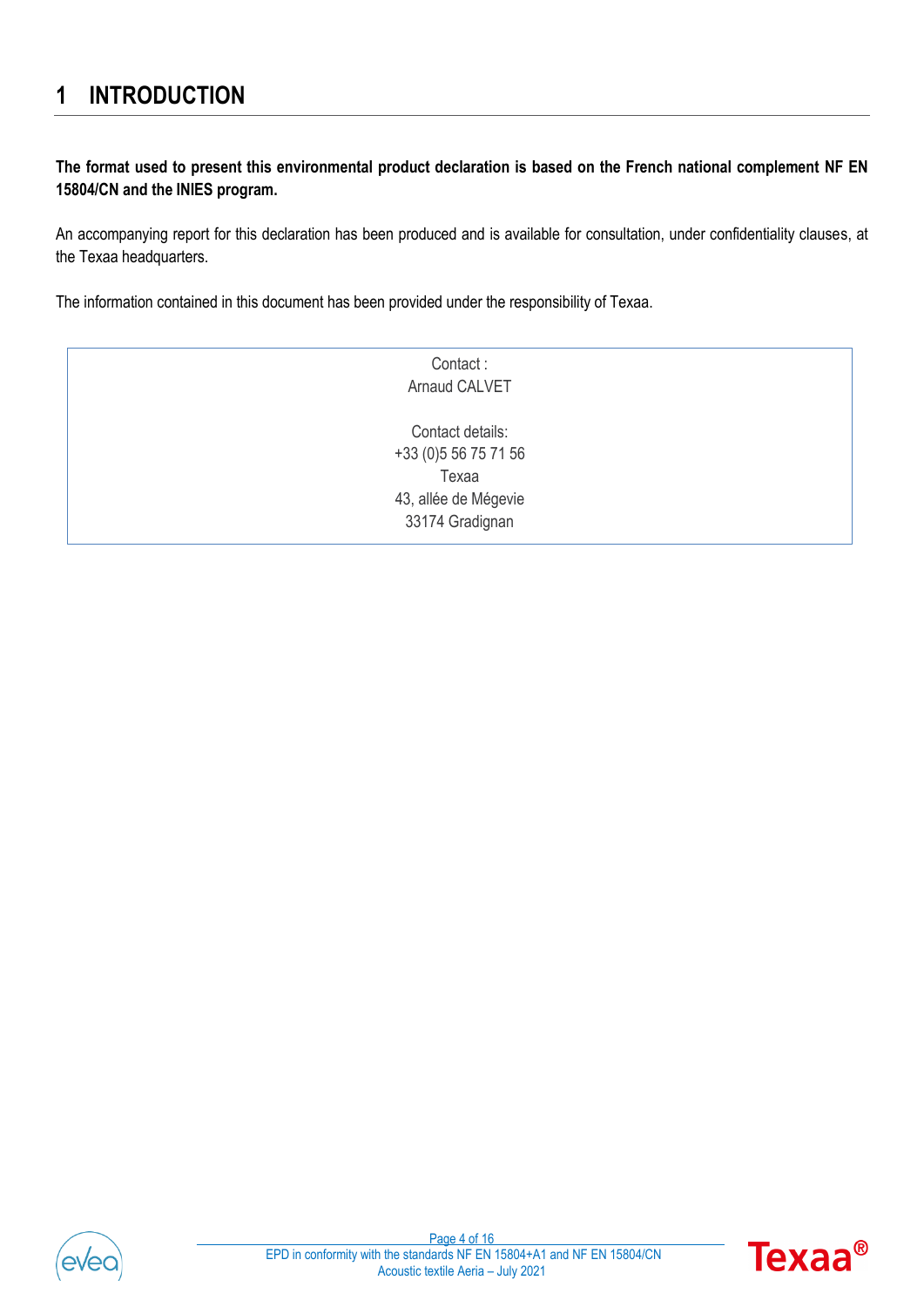### <span id="page-3-0"></span>**1 INTRODUCTION**

**The format used to present this environmental product declaration is based on the French national complement NF EN 15804/CN and the INIES program.**

An accompanying report for this declaration has been produced and is available for consultation, under confidentiality clauses, at the Texaa headquarters.

The information contained in this document has been provided under the responsibility of Texaa.

| Contact:              |
|-----------------------|
| Arnaud CALVET         |
|                       |
| Contact details:      |
| +33 (0) 5 56 75 71 56 |
| Texaa                 |
| 43, allée de Mégevie  |
| 33174 Gradignan       |
|                       |



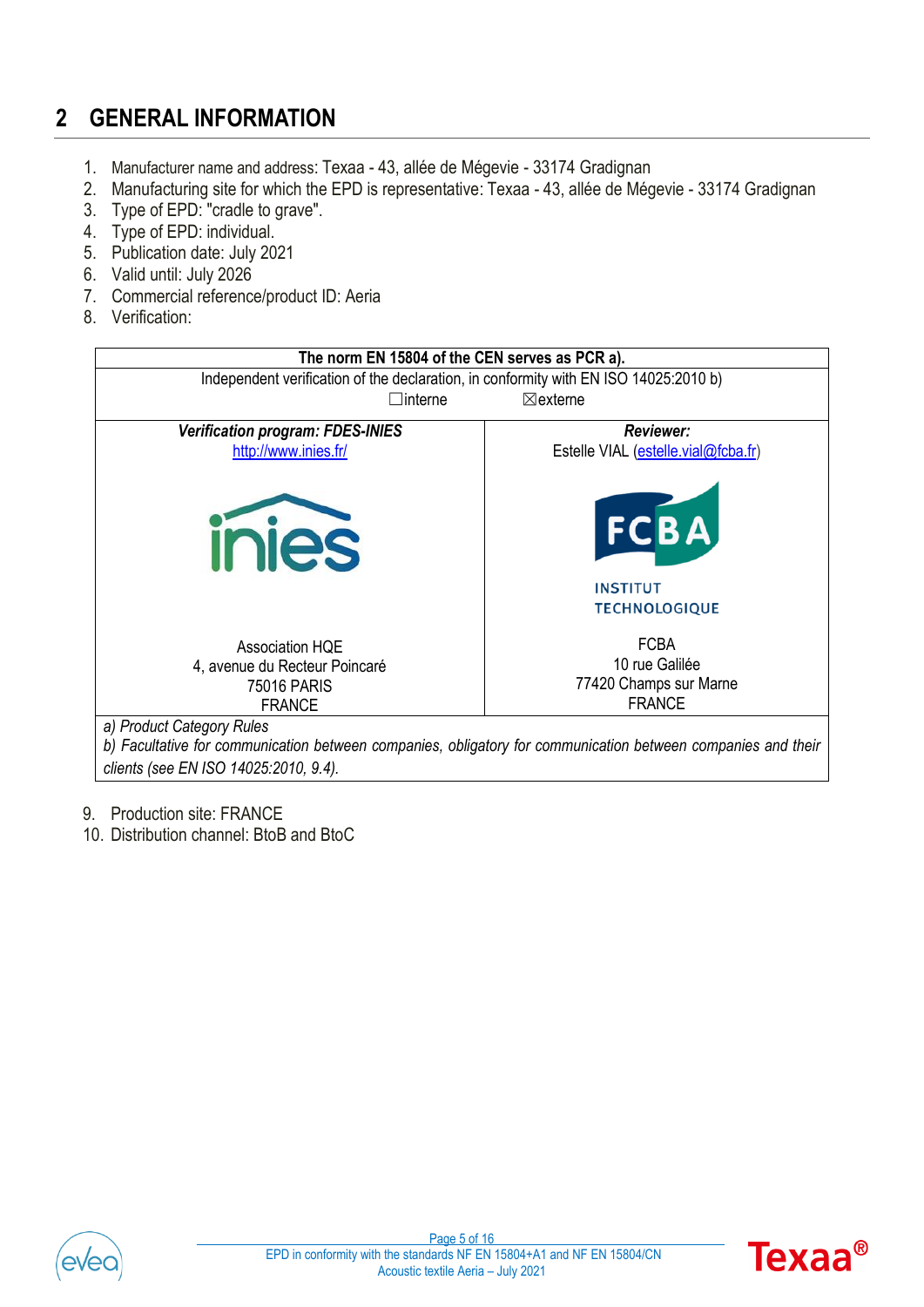# <span id="page-4-0"></span>**2 GENERAL INFORMATION**

- 1. Manufacturer name and address: Texaa 43, allée de Mégevie 33174 Gradignan
- 2. Manufacturing site for which the EPD is representative: Texaa 43, allée de Mégevie 33174 Gradignan
- 3. Type of EPD: "cradle to grave".
- 4. Type of EPD: individual.
- 5. Publication date: July 2021
- 6. Valid until: July 2026
- 7. Commercial reference/product ID: Aeria
- 8. Verification:



- 9. Production site: FRANCE
- 10. Distribution channel: BtoB and BtoC



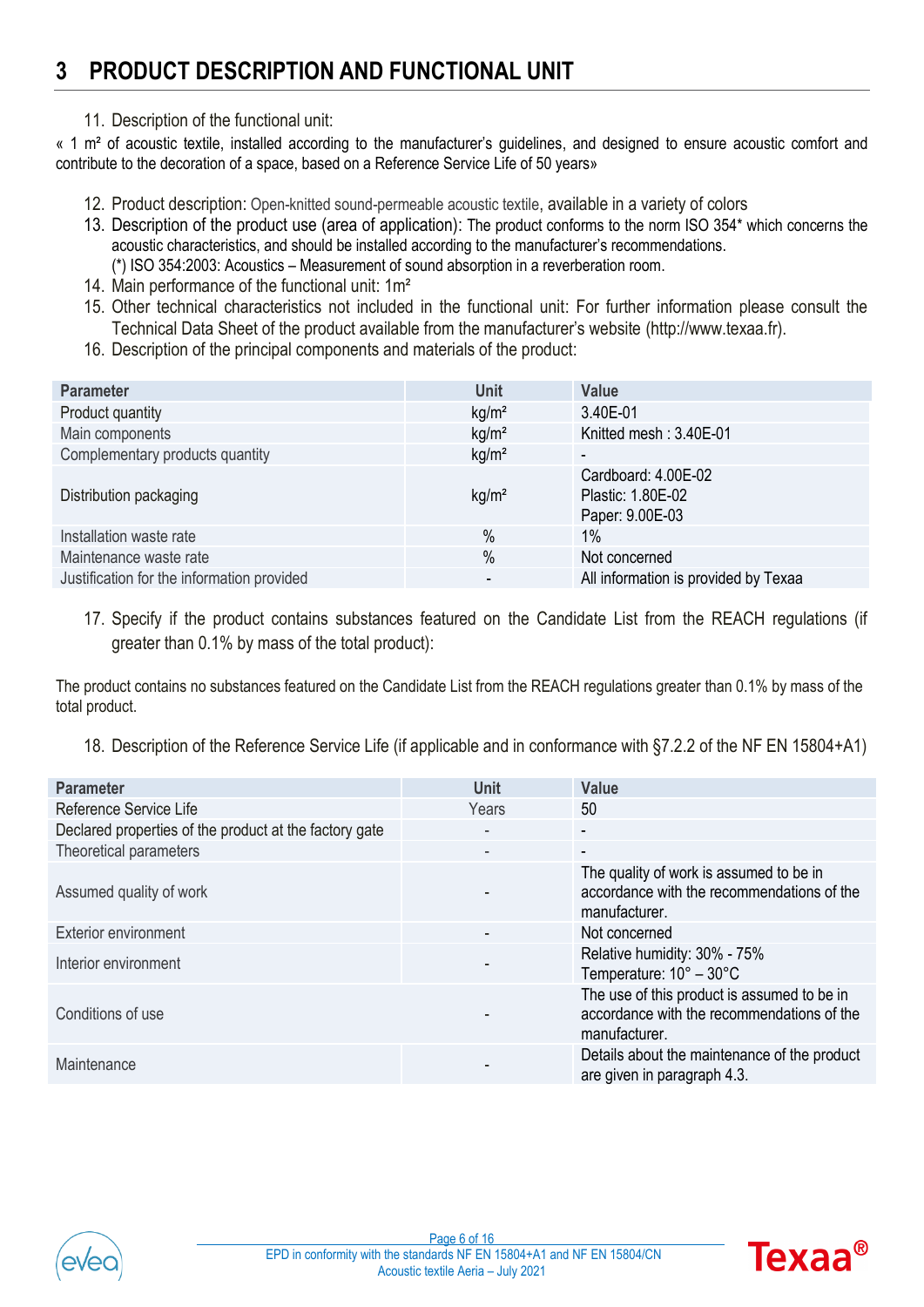### <span id="page-5-0"></span>**3 PRODUCT DESCRIPTION AND FUNCTIONAL UNIT**

11. Description of the functional unit:

« 1 m² of acoustic textile, installed according to the manufacturer's guidelines, and designed to ensure acoustic comfort and contribute to the decoration of a space, based on a Reference Service Life of 50 years»

- 12. Product description: Open-knitted sound-permeable acoustic textile, available in a variety of colors
- 13. Description of the product use (area of application): The product conforms to the norm ISO 354\* which concerns the acoustic characteristics, and should be installed according to the manufacturer's recommendations. (\*) ISO 354:2003: Acoustics – Measurement of sound absorption in a reverberation room.
- 14. Main performance of the functional unit: 1m<sup>2</sup>
- 15. Other technical characteristics not included in the functional unit: For further information please consult the Technical Data Sheet of the product available from the manufacturer's website (http://www.texaa.fr).
- 16. Description of the principal components and materials of the product:

| <b>Parameter</b>                           | <b>Unit</b>       | <b>Value</b>                                                |
|--------------------------------------------|-------------------|-------------------------------------------------------------|
| Product quantity                           | kg/m <sup>2</sup> | 3.40E-01                                                    |
| Main components                            | kg/m <sup>2</sup> | Knitted mesh: 3.40E-01                                      |
| Complementary products quantity            | kg/m <sup>2</sup> | $\overline{\phantom{a}}$                                    |
| Distribution packaging                     | kg/m <sup>2</sup> | Cardboard: 4.00E-02<br>Plastic: 1.80E-02<br>Paper: 9.00E-03 |
| Installation waste rate                    | $\%$              | $1\%$                                                       |
| Maintenance waste rate                     | $\%$              | Not concerned                                               |
| Justification for the information provided |                   | All information is provided by Texaa                        |

17. Specify if the product contains substances featured on the Candidate List from the REACH regulations (if greater than 0.1% by mass of the total product):

The product contains no substances featured on the Candidate List from the REACH regulations greater than 0.1% by mass of the total product.

18. Description of the Reference Service Life (if applicable and in conformance with §7.2.2 of the NF EN 15804+A1)

| <b>Parameter</b>                                       | Unit                     | <b>Value</b>                                                                                               |
|--------------------------------------------------------|--------------------------|------------------------------------------------------------------------------------------------------------|
| Reference Service Life                                 | Years                    | 50                                                                                                         |
| Declared properties of the product at the factory gate |                          | $\overline{\phantom{a}}$                                                                                   |
| Theoretical parameters                                 | $\overline{\phantom{a}}$ | $\overline{\phantom{a}}$                                                                                   |
| Assumed quality of work                                |                          | The quality of work is assumed to be in<br>accordance with the recommendations of the<br>manufacturer.     |
| <b>Exterior environment</b>                            |                          | Not concerned                                                                                              |
| Interior environment                                   |                          | Relative humidity: 30% - 75%<br>Temperature: $10^{\circ} - 30^{\circ}$ C                                   |
| Conditions of use                                      |                          | The use of this product is assumed to be in<br>accordance with the recommendations of the<br>manufacturer. |
| Maintenance                                            |                          | Details about the maintenance of the product<br>are given in paragraph 4.3.                                |



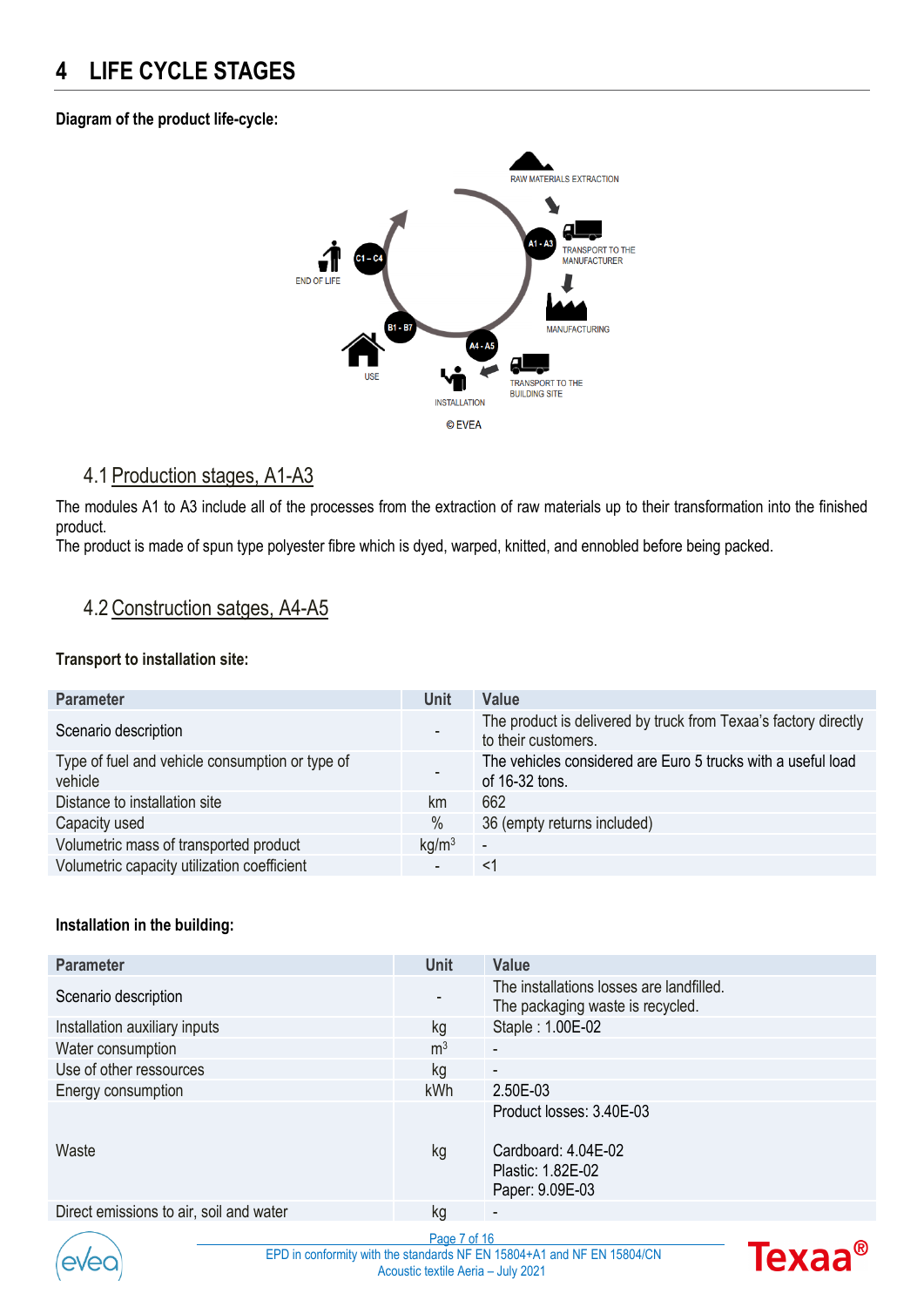### <span id="page-6-0"></span>**4 LIFE CYCLE STAGES**

#### **Diagram of the product life-cycle:**



### <span id="page-6-1"></span>4.1 Production stages, A1-A3

The modules A1 to A3 include all of the processes from the extraction of raw materials up to their transformation into the finished product.

The product is made of spun type polyester fibre which is dyed, warped, knitted, and ennobled before being packed.

### <span id="page-6-2"></span>4.2Construction satges, A4-A5

#### **Transport to installation site:**

| <b>Parameter</b>                                           | <b>Unit</b>       | Value                                                                                  |
|------------------------------------------------------------|-------------------|----------------------------------------------------------------------------------------|
| Scenario description                                       |                   | The product is delivered by truck from Texaa's factory directly<br>to their customers. |
| Type of fuel and vehicle consumption or type of<br>vehicle |                   | The vehicles considered are Euro 5 trucks with a useful load<br>of 16-32 tons.         |
| Distance to installation site                              | km                | 662                                                                                    |
| Capacity used                                              | $\%$              | 36 (empty returns included)                                                            |
| Volumetric mass of transported product                     | kg/m <sup>3</sup> | $\overline{\phantom{a}}$                                                               |
| Volumetric capacity utilization coefficient                |                   | <1                                                                                     |

#### **Installation in the building:**

| <b>Parameter</b>                        | <b>Unit</b>    | Value                                                                        |
|-----------------------------------------|----------------|------------------------------------------------------------------------------|
| Scenario description                    |                | The installations losses are landfilled.<br>The packaging waste is recycled. |
| Installation auxiliary inputs           | kg             | Staple: 1.00E-02                                                             |
| Water consumption                       | m <sup>3</sup> | $\overline{\phantom{a}}$                                                     |
| Use of other ressources                 | kg             | $\overline{\phantom{a}}$                                                     |
| Energy consumption                      | <b>kWh</b>     | 2.50E-03                                                                     |
|                                         |                | Product losses: 3.40E-03                                                     |
| Waste                                   | kg             | Cardboard: 4.04E-02<br>Plastic: 1.82E-02<br>Paper: 9.09E-03                  |
| Direct emissions to air, soil and water | kg             | $\sim$                                                                       |



Page 7 of 16 EPD in conformity with the standards NF EN 15804+A1 and NF EN 15804/CN Acoustic textile Aeria – July 2021

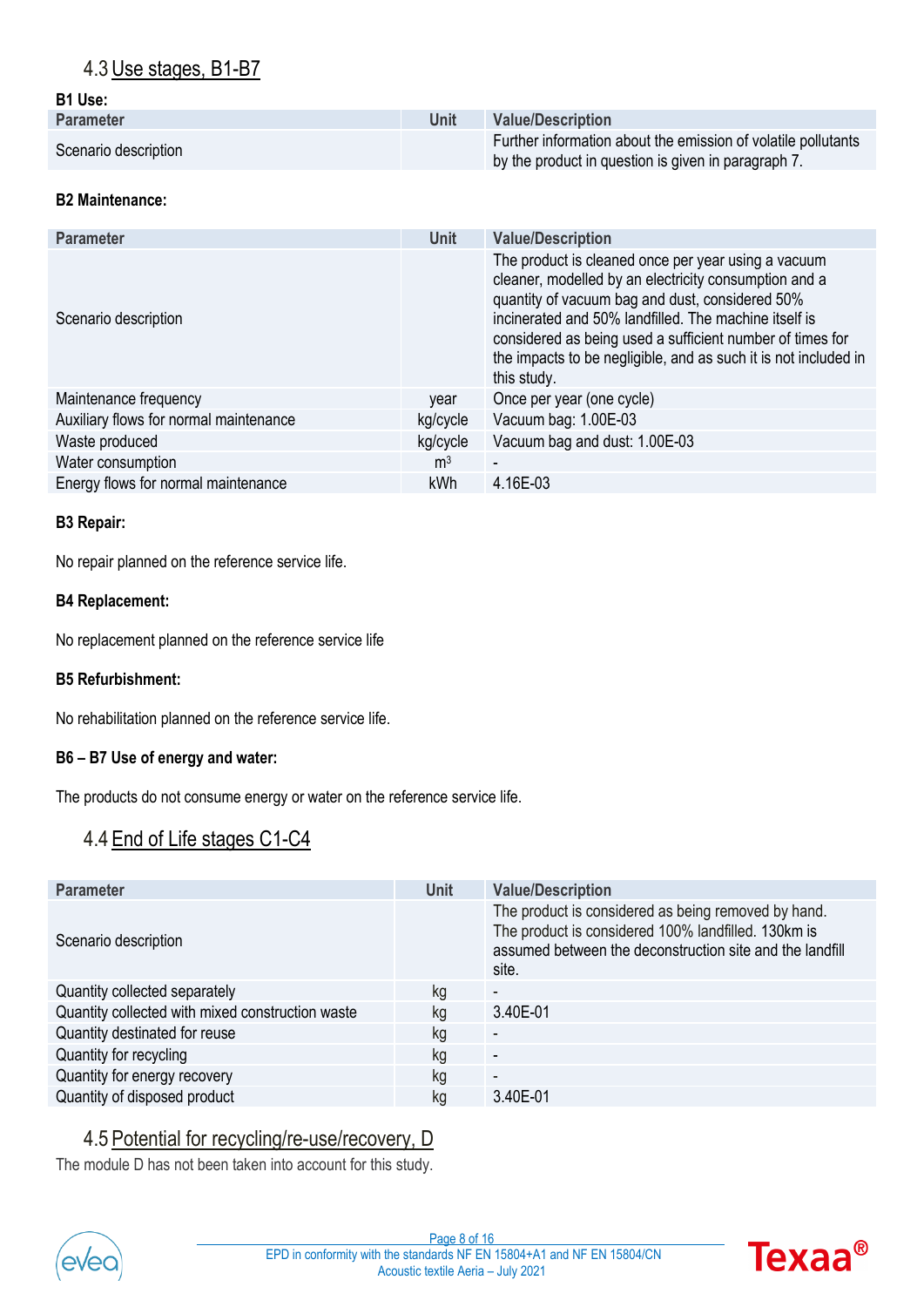### <span id="page-7-0"></span>4.3Use stages, B1-B7

#### **B1 Use:**

| <b>Parameter</b>     | Unit | <b>Value/Description</b>                                                                                             |
|----------------------|------|----------------------------------------------------------------------------------------------------------------------|
| Scenario description |      | Further information about the emission of volatile pollutants<br>by the product in question is given in paragraph 7. |

#### **B2 Maintenance:**

| <b>Parameter</b>                       | <b>Unit</b>    | <b>Value/Description</b>                                                                                                                                                                                                                                                                                                                                                |  |  |  |  |  |
|----------------------------------------|----------------|-------------------------------------------------------------------------------------------------------------------------------------------------------------------------------------------------------------------------------------------------------------------------------------------------------------------------------------------------------------------------|--|--|--|--|--|
| Scenario description                   |                | The product is cleaned once per year using a vacuum<br>cleaner, modelled by an electricity consumption and a<br>quantity of vacuum bag and dust, considered 50%<br>incinerated and 50% landfilled. The machine itself is<br>considered as being used a sufficient number of times for<br>the impacts to be negligible, and as such it is not included in<br>this study. |  |  |  |  |  |
| Maintenance frequency                  | vear           | Once per year (one cycle)                                                                                                                                                                                                                                                                                                                                               |  |  |  |  |  |
| Auxiliary flows for normal maintenance | kg/cycle       | Vacuum bag: 1.00E-03                                                                                                                                                                                                                                                                                                                                                    |  |  |  |  |  |
| Waste produced                         | kg/cycle       | Vacuum bag and dust: 1.00E-03                                                                                                                                                                                                                                                                                                                                           |  |  |  |  |  |
| Water consumption                      | m <sup>3</sup> | $\blacksquare$                                                                                                                                                                                                                                                                                                                                                          |  |  |  |  |  |
| Energy flows for normal maintenance    | kWh            | 4.16E-03                                                                                                                                                                                                                                                                                                                                                                |  |  |  |  |  |

#### **B3 Repair:**

No repair planned on the reference service life.

#### **B4 Replacement:**

No replacement planned on the reference service life

#### **B5 Refurbishment:**

No rehabilitation planned on the reference service life.

#### **B6 – B7 Use of energy and water:**

The products do not consume energy or water on the reference service life.

### <span id="page-7-1"></span>4.4 End of Life stages C1-C4

| <b>Parameter</b>                                 | <b>Unit</b> | <b>Value/Description</b>                                                                                                                                                        |
|--------------------------------------------------|-------------|---------------------------------------------------------------------------------------------------------------------------------------------------------------------------------|
| Scenario description                             |             | The product is considered as being removed by hand.<br>The product is considered 100% landfilled. 130km is<br>assumed between the deconstruction site and the landfill<br>site. |
| Quantity collected separately                    | kg          | $\overline{\phantom{a}}$                                                                                                                                                        |
| Quantity collected with mixed construction waste | kg          | 3.40E-01                                                                                                                                                                        |
| Quantity destinated for reuse                    | kg          | $\overline{\phantom{a}}$                                                                                                                                                        |
| Quantity for recycling                           | kg          | $\overline{\phantom{a}}$                                                                                                                                                        |
| Quantity for energy recovery                     | kg          | $\overline{\phantom{a}}$                                                                                                                                                        |
| Quantity of disposed product                     | kg          | 3.40E-01                                                                                                                                                                        |

### 4.5 Potential for recycling/re-use/recovery, D

<span id="page-7-2"></span>The module D has not been taken into account for this study.



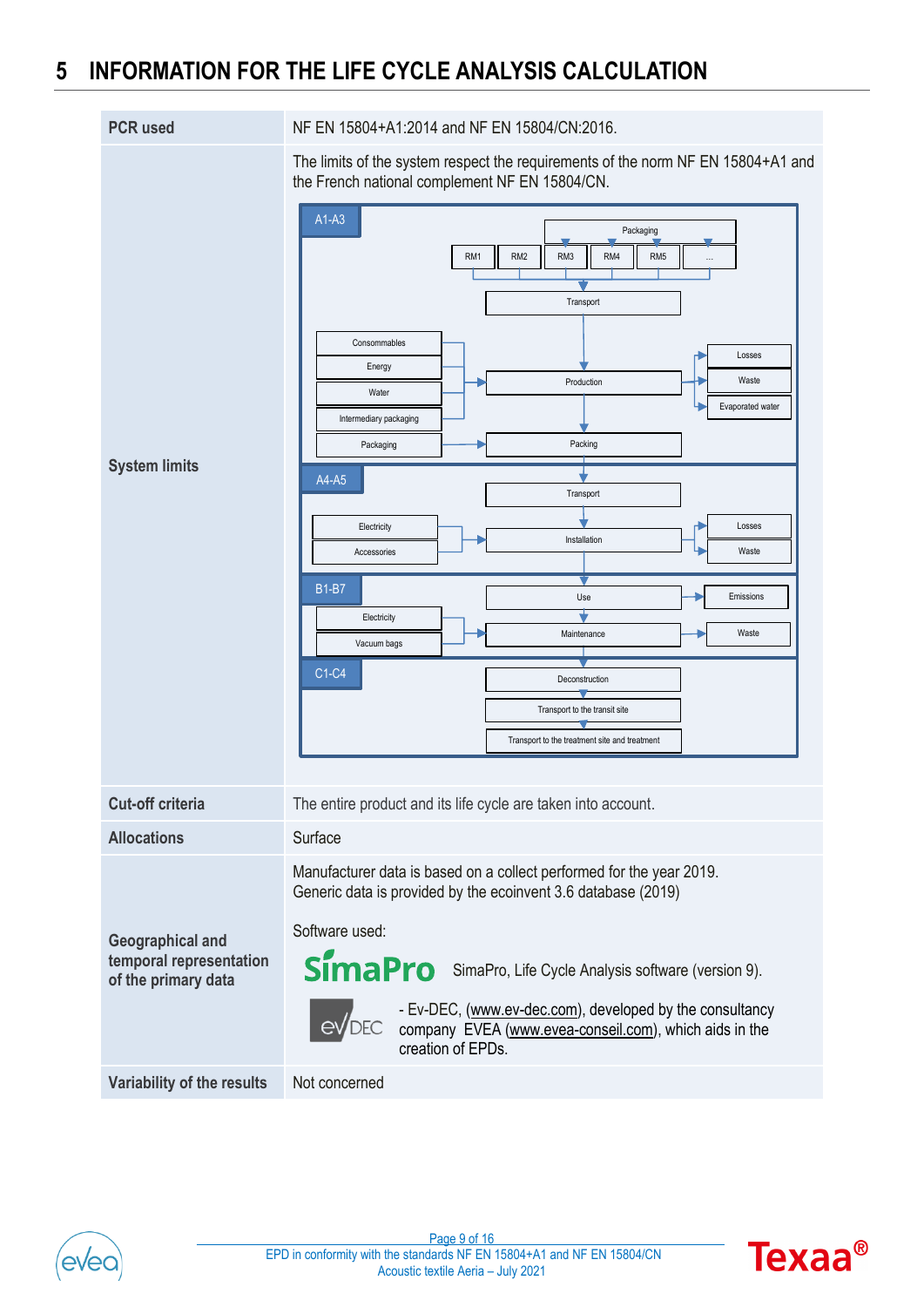## <span id="page-8-0"></span>**5 INFORMATION FOR THE LIFE CYCLE ANALYSIS CALCULATION**

| <b>PCR</b> used                                                    | NF EN 15804+A1:2014 and NF EN 15804/CN:2016.                                                                                                                                                                                                                                                                                                                                                                                                                                                                                                                                                                                                                                           |
|--------------------------------------------------------------------|----------------------------------------------------------------------------------------------------------------------------------------------------------------------------------------------------------------------------------------------------------------------------------------------------------------------------------------------------------------------------------------------------------------------------------------------------------------------------------------------------------------------------------------------------------------------------------------------------------------------------------------------------------------------------------------|
| <b>System limits</b>                                               | The limits of the system respect the requirements of the norm NF EN 15804+A1 and<br>the French national complement NF EN 15804/CN.<br>$A1-A3$<br>Packaging<br>RM3<br>RM4<br>RM <sub>5</sub><br>RM1<br>RM <sub>2</sub><br>$\cdots$<br>Transport<br>Consommables<br>Losses<br>Energy<br>Waste<br>Production<br>Water<br>Evaporated water<br>Intermediary packaging<br>Packing<br>Packaging<br>A4-A5<br>Transport<br>Losses<br>Electricity<br>Installation<br>Waste<br>Accessories<br><b>B1-B7</b><br>Emissions<br>Use<br>Electricity<br>Waste<br>Maintenance<br>Vacuum bags<br>C1-C4<br>Deconstruction<br>Transport to the transit site<br>Transport to the treatment site and treatment |
| <b>Cut-off criteria</b>                                            | The entire product and its life cycle are taken into account.                                                                                                                                                                                                                                                                                                                                                                                                                                                                                                                                                                                                                          |
| <b>Allocations</b>                                                 | Surface                                                                                                                                                                                                                                                                                                                                                                                                                                                                                                                                                                                                                                                                                |
| Geographical and<br>temporal representation<br>of the primary data | Manufacturer data is based on a collect performed for the year 2019.<br>Generic data is provided by the ecoinvent 3.6 database (2019)<br>Software used:<br>SimaPro SimaPro, Life Cycle Analysis software (version 9).<br>- Ev-DEC, (www.ev-dec.com), developed by the consultancy<br>$eV$ DEC<br>company EVEA (www.evea-conseil.com), which aids in the<br>creation of EPDs.                                                                                                                                                                                                                                                                                                           |
| Variability of the results                                         | Not concerned                                                                                                                                                                                                                                                                                                                                                                                                                                                                                                                                                                                                                                                                          |



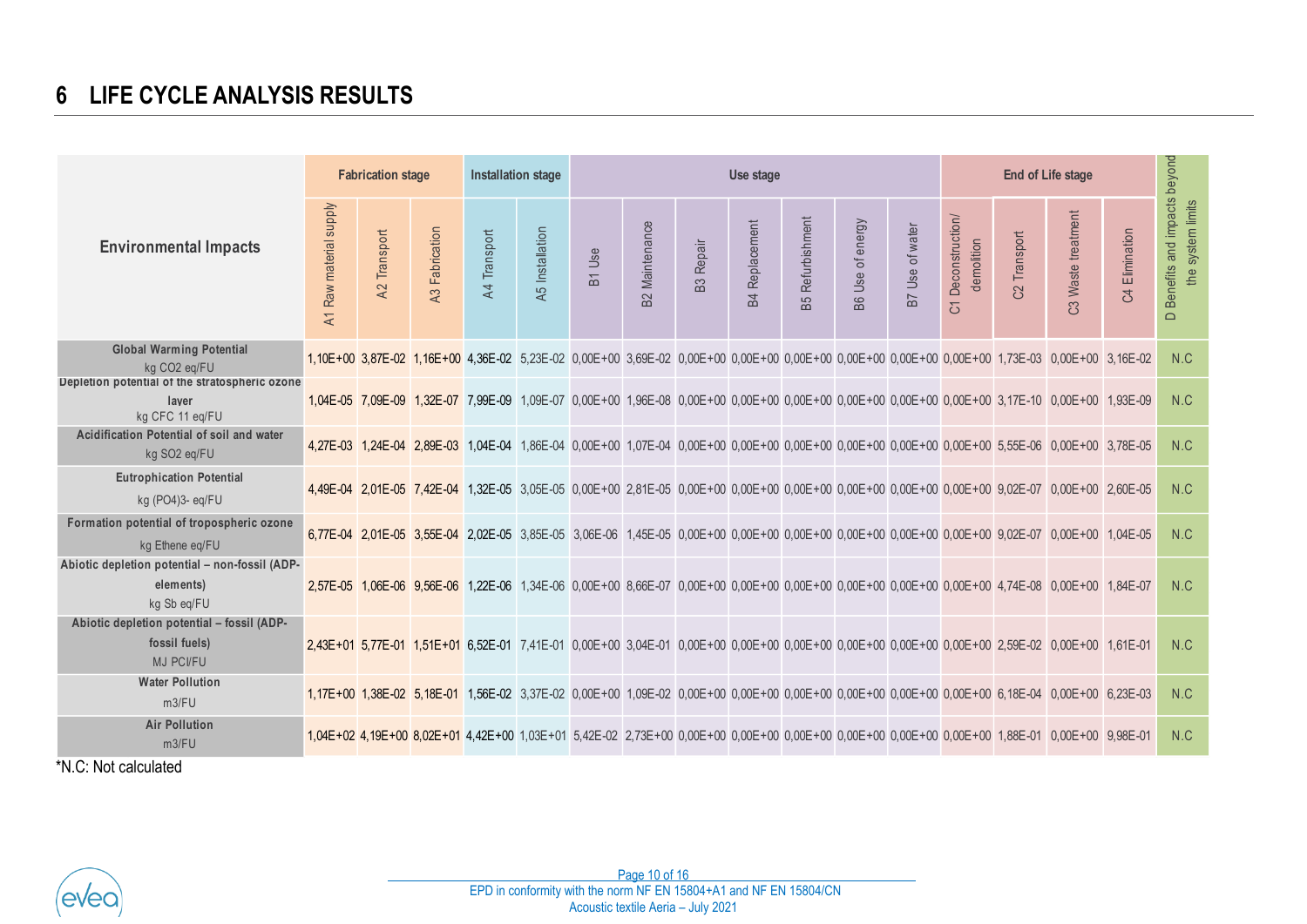## **6 LIFE CYCLE ANALYSIS RESULTS**

<span id="page-9-0"></span>

|                                                                                                               | <b>Fabrication stage</b>              |              |                       | Installation stage |                 | Use stage |                       |                  |                       |                         |                  |                 |                                  | <b>End of Life stage</b> |                                                                                                                                                 |                |                                                    |  |
|---------------------------------------------------------------------------------------------------------------|---------------------------------------|--------------|-----------------------|--------------------|-----------------|-----------|-----------------------|------------------|-----------------------|-------------------------|------------------|-----------------|----------------------------------|--------------------------|-------------------------------------------------------------------------------------------------------------------------------------------------|----------------|----------------------------------------------------|--|
| <b>Environmental Impacts</b>                                                                                  | Raw material supply<br>$\overline{A}$ | A2 Transport | <b>43 Fabrication</b> | A4 Transport       | A5 Installation | B1 Use    | <b>B2</b> Maintenance | <b>B3 Repair</b> | <b>B4 Replacement</b> | <b>B5</b> Refurbishment | B6 Use of energy | B7 Use of water | C1 Deconstruction/<br>demolition | C2 Transport             | C3 Waste treatment                                                                                                                              | C4 Elimination | D Benefits and impacts beyond<br>the system limits |  |
| <b>Global Warming Potential</b><br>kg CO <sub>2</sub> eg/FU<br>Depletion potential of the stratospheric ozone |                                       |              |                       |                    |                 |           |                       |                  |                       |                         |                  |                 |                                  |                          | 1,10E+00 3,87E-02 1,16E+00 4,36E-02 5,23E-02 0,00E+00 3,69E-02 0,00E+00 0,00E+00 0,00E+00 0,00E+00 0,00E+00 0,00E+00 1,73E-03 0,00E+00 3,16E-02 |                | N.C                                                |  |
| laver<br>kg CFC 11 eg/FU                                                                                      |                                       |              |                       |                    |                 |           |                       |                  |                       |                         |                  |                 |                                  |                          | 1,04E-05 7,09E-09 1,32E-07 7,99E-09 1,09E-07 0,00E+00 1,96E-08 0,00E+00 0,00E+00 0,00E+00 0,00E+00 0,00E+00 0,00E+00 3,17E-10 0,00E+00 1,93E-09 |                | N.C                                                |  |
| Acidification Potential of soil and water<br>kg SO2 eq/FU                                                     |                                       |              |                       |                    |                 |           |                       |                  |                       |                         |                  |                 |                                  |                          | 4,27E-03 1,24E-04 2,89E-03 1,04E-04 1,86E-04 0,00E+00 1,07E-04 0,00E+00 0,00E+00 0,00E+00 0,00E+00 0,00E+00 0,00E+00 5,55E-06 0,00E+00 3,78E-05 |                | N.C                                                |  |
| <b>Eutrophication Potential</b><br>kg (PO4)3- eq/FU                                                           |                                       |              |                       |                    |                 |           |                       |                  |                       |                         |                  |                 |                                  |                          | 4,49E-04 2,01E-05 7,42E-04 1,32E-05 3,05E-05 0,00E+00 2,81E-05 0,00E+00 0,00E+00 0,00E+00 0,00E+00 0,00E+00 0,00E+00 9,02E-07 0,00E+00 2,60E-05 |                | N.C                                                |  |
| Formation potential of tropospheric ozone<br>kg Ethene eq/FU                                                  |                                       |              |                       |                    |                 |           |                       |                  |                       |                         |                  |                 |                                  |                          | 6,77E-04 2,01E-05 3,55E-04 2,02E-05 3,85E-05 3,06E-06 1,45E-05 0,00E+00 0,00E+00 0,00E+00 0,00E+00 0,00E+00 0,00E+00 9,02E-07 0,00E+00 1,04E-05 |                | N.C                                                |  |
| Abiotic depletion potential - non-fossil (ADP-<br>elements)<br>kg Sb eg/FU                                    |                                       |              |                       |                    |                 |           |                       |                  |                       |                         |                  |                 |                                  |                          | 2,57E-05 1,06E-06 9,56E-06 1,22E-06 1,34E-06 0,00E+00 8,66E-07 0,00E+00 0,00E+00 0,00E+00 0,00E+00 0,00E+00 0,00E+00 4,74E-08 0,00E+00 1,84E-07 |                | N.C                                                |  |
| Abiotic depletion potential - fossil (ADP-<br>fossil fuels)<br><b>MJ PCI/FU</b>                               |                                       |              |                       |                    |                 |           |                       |                  |                       |                         |                  |                 |                                  |                          | 2,43E+01 5,77E-01 1,51E+01 6,52E-01 7,41E-01 0,00E+00 3,04E-01 0,00E+00 0,00E+00 0,00E+00 0,00E+00 0,00E+00 0,00E+00 2,59E-02 0,00E+00 1,61E-01 |                | N.C                                                |  |
| <b>Water Pollution</b><br>m3/FU                                                                               |                                       |              |                       |                    |                 |           |                       |                  |                       |                         |                  |                 |                                  |                          | 1,17E+00 1,38E-02 5,18E-01 1,56E-02 3,37E-02 0,00E+00 1,09E-02 0,00E+00 0,00E+00 0,00E+00 0,00E+00 0,00E+00 0,00E+00 6,18E-04 0,00E+00 6,23E-03 |                | N.C                                                |  |
| <b>Air Pollution</b><br>m3/FU<br>*N.C: Not calculated                                                         |                                       |              |                       |                    |                 |           |                       |                  |                       |                         |                  |                 |                                  |                          | 1,04E+02 4,19E+00 8,02E+01 4,42E+00 1,03E+01 5,42E-02 2,73E+00 0,00E+00 0,00E+00 0,00E+00 0,00E+00 0,00E+00 0,00E+00 1,88E-01 0,00E+00 9,98E-01 |                | N.C                                                |  |

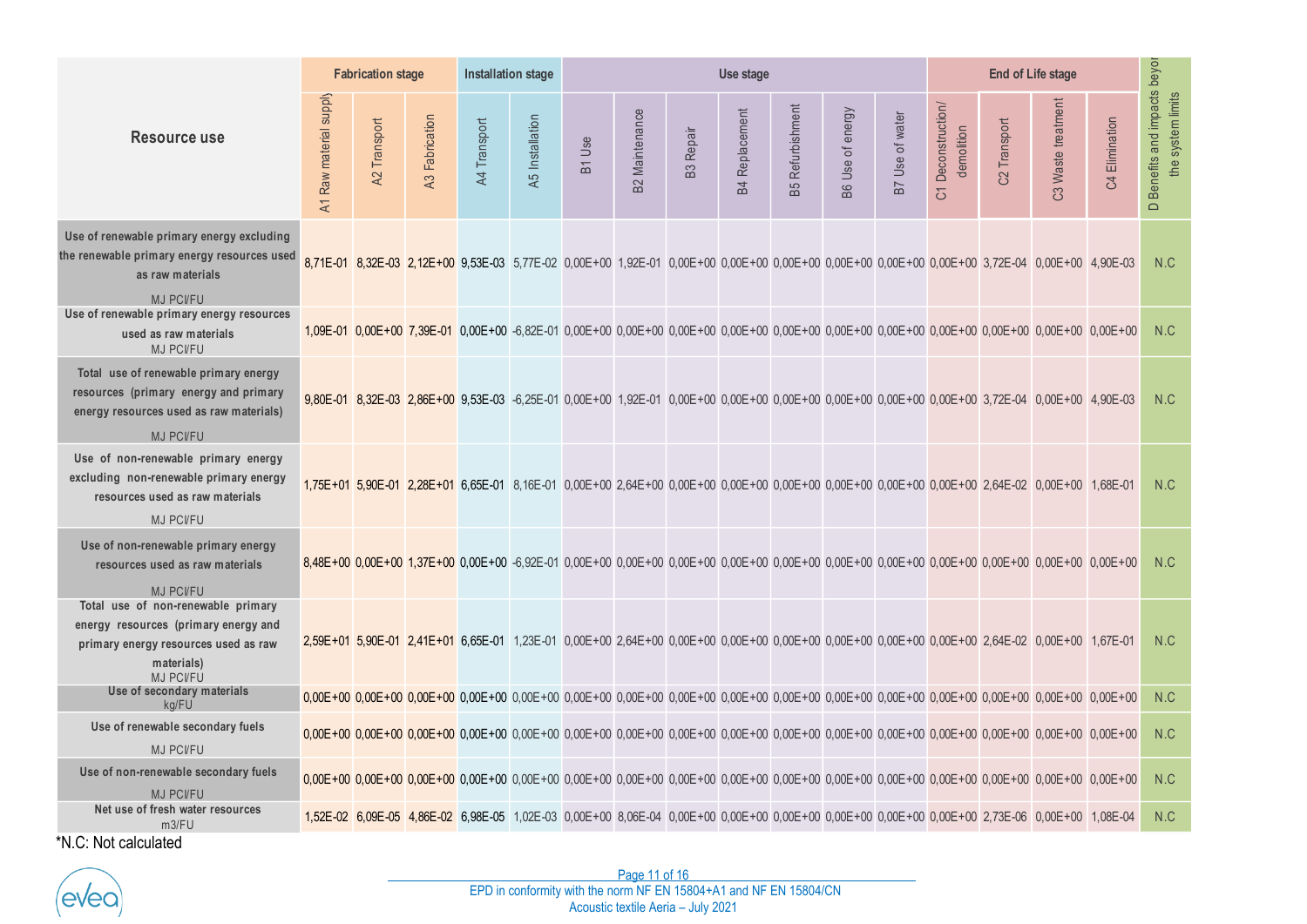|                                                                                                                                                      |                                                                                                         | <b>Fabrication stage</b> |                | <b>Installation stage</b><br>Use stage |                 |        |                       |                  |                       |                     |                  |                 | <b>End of Life stage</b>                  |              |                                                                                                                                                                             |                               |                                                           |  |
|------------------------------------------------------------------------------------------------------------------------------------------------------|---------------------------------------------------------------------------------------------------------|--------------------------|----------------|----------------------------------------|-----------------|--------|-----------------------|------------------|-----------------------|---------------------|------------------|-----------------|-------------------------------------------|--------------|-----------------------------------------------------------------------------------------------------------------------------------------------------------------------------|-------------------------------|-----------------------------------------------------------|--|
| <b>Resource use</b>                                                                                                                                  | A1 Raw material supply                                                                                  | Transport<br>A2          | A3 Fabrication | A4 Transport                           | A5 Installation | B1 Use | <b>B2 Maintenance</b> | <b>B3</b> Repair | <b>B4 Replacement</b> | Refurbishment<br>B5 | B6 Use of energy | B7 Use of water | Deconstruction/<br>demolition<br><u>ර</u> | C2 Transport | C3 Waste treatment                                                                                                                                                          | Elimination<br>$\mathfrak{S}$ | Benefits and impacts beyor<br>the system limits<br>$\Box$ |  |
| Use of renewable primary energy excluding<br>the renewable primary energy resources used<br>as raw materials<br><b>MJ PCI/FU</b>                     |                                                                                                         |                          |                |                                        |                 |        |                       |                  |                       |                     |                  |                 |                                           |              | 8,71E-01 8,32E-03 2,12E+00 9,53E-03 5,77E-02 0,00E+00 1,92E-01 0,00E+00 0,00E+00 0,00E+00 0,00E+00 0,00E+00 0,00E+00 3,72E-04 0,00E+00 4,90E-03                             |                               | N.C                                                       |  |
| Use of renewable primary energy resources<br>used as raw materials<br><b>MJ PCI/FU</b>                                                               |                                                                                                         |                          |                |                                        |                 |        |                       |                  |                       |                     |                  |                 |                                           |              | 1,09E-01 0,00E+00 7,39E-01 0,00E+00 -6,82E-01 0,00E+00 0,00E+00 0,00E+00 0,00E+00 0,00E+00 0,00E+00 0,00E+00 0,00E+00 0,00E+00 0,00E+00 0,00E+00 0,00E+00 0,00E+00          |                               | N.C                                                       |  |
| Total use of renewable primary energy<br>resources (primary energy and primary<br>energy resources used as raw materials)<br><b>MJ PCI/FU</b>        |                                                                                                         |                          |                |                                        |                 |        |                       |                  |                       |                     |                  |                 |                                           |              | 9,80E-01 8,32E-03 2,86E+00 9,53E-03 -6,25E-01 0,00E+00 1,92E-01 0,00E+00 0,00E+00 0,00E+00 0,00E+00 0,00E+00 0,00E+00 3,72E-04 0,00E+00 4,90E-03                            |                               | N.C                                                       |  |
| Use of non-renewable primary energy<br>excluding non-renewable primary energy<br>resources used as raw materials                                     |                                                                                                         |                          |                |                                        |                 |        |                       |                  |                       |                     |                  |                 |                                           |              | 1,75E+01 5,90E-01 2,28E+01 6,65E-01 8,16E-01 0,00E+00 2,64E+00 0,00E+00 0,00E+00 0,00E+00 0,00E+00 0,00E+00 0,00E+00 2,64E-02 0,00E+00 1,68E-01                             |                               | N.C                                                       |  |
| <b>MJ PCI/FU</b><br>Use of non-renewable primary energy<br>resources used as raw materials<br><b>MJ PCI/FU</b>                                       |                                                                                                         |                          |                |                                        |                 |        |                       |                  |                       |                     |                  |                 |                                           |              | 8,48E+00 0,00E+00 1,37E+00 0,00E+00 -6,92E-01 0,00E+00 0,00E+00 0,00E+00 0,00E+00 0,00E+00 0,00E+00 0,00E+00 0,00E+00 0,00E+00 0,00E+00 0,00E+00 0,00E+00 0,00E+00 0,00E+00 |                               | N.C                                                       |  |
| Total use of non-renewable primary<br>energy resources (primary energy and<br>primary energy resources used as raw<br>materials)<br><b>MJ PCI/FU</b> |                                                                                                         |                          |                |                                        |                 |        |                       |                  |                       |                     |                  |                 |                                           |              | 2,59E+01 5,90E-01 2,41E+01 6,65E-01 1,23E-01 0,00E+00 2,64E+00 0,00E+00 0,00E+00 0,00E+00 0,00E+00 0,00E+00 0,00E+00 2,64E-02 0,00E+00 1,67E-01                             |                               | N.C                                                       |  |
| Use of secondary materials<br>ka/FU                                                                                                                  |                                                                                                         |                          |                |                                        |                 |        |                       |                  |                       |                     |                  |                 |                                           |              | 0,00E+00 0,00E+00 0,00E+00 0,00E+00 0,00E+00 0,00E+00 0,00E+00 0,00E+00 0,00E+00 0,00E+00 0,00E+00 0,00E+00 0,00E+00 0,00E+00 0,00E+00 0,00E+00 0,00E+00 0,00E+00 0,00E+00  |                               | N.C                                                       |  |
| Use of renewable secondary fuels<br>MJ PCI/FU                                                                                                        |                                                                                                         |                          |                |                                        |                 |        |                       |                  |                       |                     |                  |                 |                                           |              | 0.00E+00 0.00E+00 0.00E+00 0.00E+00 0.00E+00 0.00E+00 0.00E+00 0.00E+00 0.00E+00 0.00E+00 0.00E+00 0.00E+00 0.00E+00 0.00E+00 0.00E+00 0.00E+00 0.00E+00 0.00E+00 0.00E+00  |                               | N.C                                                       |  |
| Use of non-renewable secondary fuels<br><b>MJ PCI/FU</b>                                                                                             |                                                                                                         |                          |                |                                        |                 |        |                       |                  |                       |                     |                  |                 |                                           |              | 0,00E+00 0,00E+00 0,00E+00 0,00E+00 0,00E+00 0,00E+00 0,00E+00 0,00E+00 0,00E+00 0,00E+00 0,00E+00 0,00E+00 0,00E+00 0,00E+00 0,00E+00 0,00E+00 0,00E+00 0,00E+00 0,00E+00  |                               | N.C                                                       |  |
| Net use of fresh water resources<br>m3/FU                                                                                                            |                                                                                                         |                          |                |                                        |                 |        |                       |                  |                       |                     |                  |                 |                                           |              | 1,52E-02 6,09E-05 4,86E-02 6,98E-05 1,02E-03 0,00E+00 8,06E-04 0,00E+00 0,00E+00 0,00E+00 0,00E+00 0,00E+00 0,00E+00 2,73E-06 0,00E+00 1,08E-04                             |                               | N.C                                                       |  |
| *N.C: Not calculated                                                                                                                                 |                                                                                                         |                          |                |                                        |                 |        |                       |                  |                       |                     |                  |                 |                                           |              |                                                                                                                                                                             |                               |                                                           |  |
|                                                                                                                                                      |                                                                                                         |                          |                |                                        |                 |        | Page 11 of 16         |                  |                       |                     |                  |                 |                                           |              |                                                                                                                                                                             |                               |                                                           |  |
|                                                                                                                                                      | EPD in conformity with the norm NF EN 15804+A1 and NF EN 15804/CN<br>Acoustic textile Aeria - July 2021 |                          |                |                                        |                 |        |                       |                  |                       |                     |                  |                 |                                           |              |                                                                                                                                                                             |                               |                                                           |  |

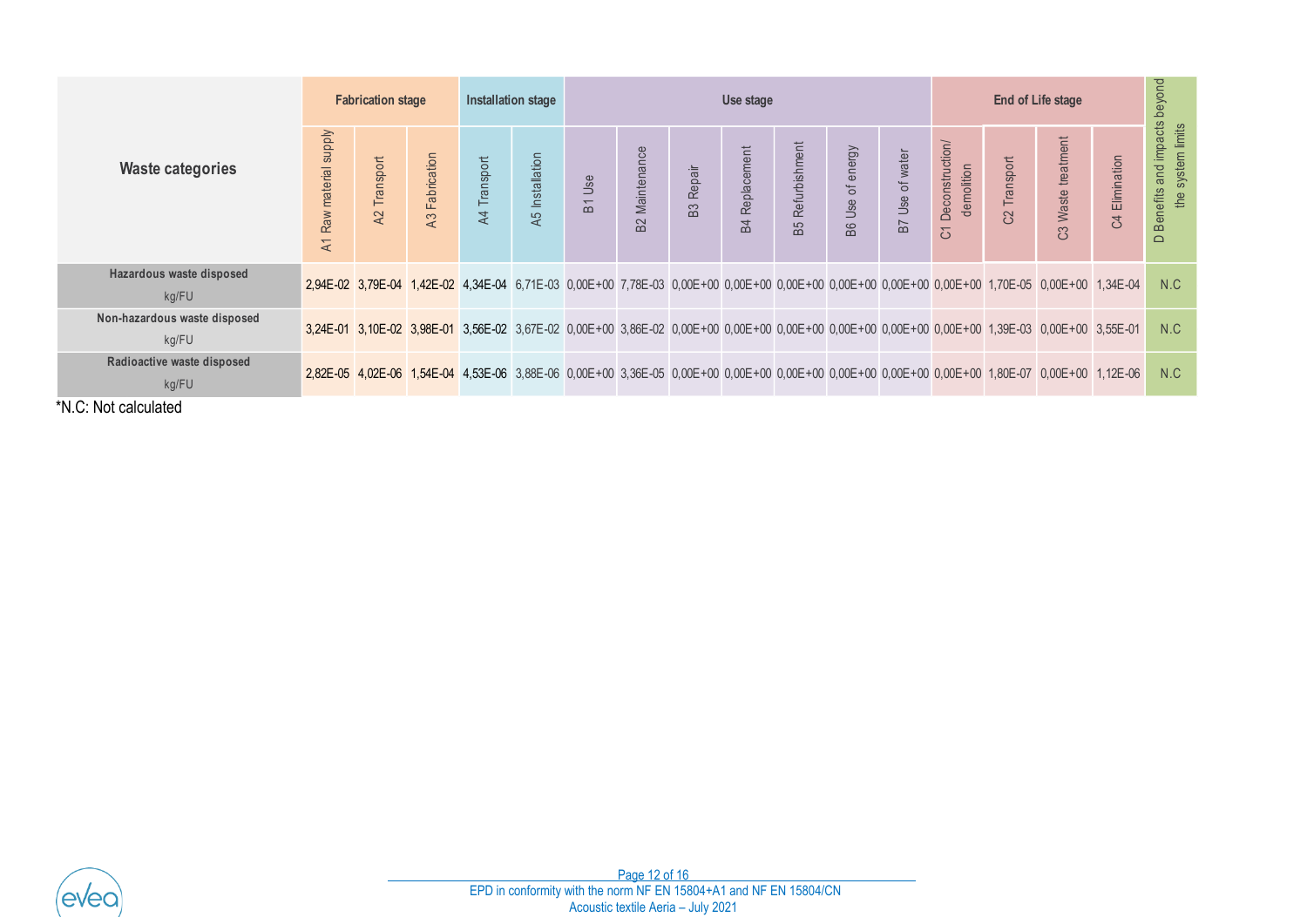|                                       | <b>Fabrication stage</b> |              |                |              | <b>Installation stage</b> | Use stage |                       |                                    |                       |                                                                   |                  |                 | <b>End of Life stage</b>         |              |                                                                                                                                                 |                         |                                                    |
|---------------------------------------|--------------------------|--------------|----------------|--------------|---------------------------|-----------|-----------------------|------------------------------------|-----------------------|-------------------------------------------------------------------|------------------|-----------------|----------------------------------|--------------|-------------------------------------------------------------------------------------------------------------------------------------------------|-------------------------|----------------------------------------------------|
| <b>Waste categories</b>               | A1 Raw material supply   | A2 Transport | A3 Fabrication | A4 Transport | A5 Installation           | B1 Use    | <b>B2 Maintenance</b> | <b>B3 Repair</b>                   | <b>B4 Replacement</b> | <b>B5 Refurbishment</b>                                           | B6 Use of energy | B7 Use of water | C1 Deconstruction/<br>demolition | C2 Transport | C3 Waste treatment                                                                                                                              | Elimination<br>$\Omega$ | D Benefits and impacts beyond<br>the system limits |
| Hazardous waste disposed<br>kg/FU     |                          |              |                |              |                           |           |                       |                                    |                       |                                                                   |                  |                 |                                  |              | 2,94E-02 3,79E-04 1,42E-02 4,34E-04 6,71E-03 0,00E+00 7,78E-03 0,00E+00 0,00E+00 0,00E+00 0,00E+00 0,00E+00 0,00E+00 1,70E-05 0,00E+00 1,34E-04 |                         | N.C                                                |
| Non-hazardous waste disposed<br>kg/FU |                          |              |                |              |                           |           |                       |                                    |                       |                                                                   |                  |                 |                                  |              | 3,24E-01 3,10E-02 3,98E-01 3,56E-02 3,67E-02 0,00E+00 3,86E-02 0,00E+00 0,00E+00 0,00E+00 0,00E+00 0,00E+00 0,00E+00 1,39E-03 0,00E+00 3,55E-01 |                         | N.C                                                |
| Radioactive waste disposed<br>kg/FU   |                          |              |                |              |                           |           |                       |                                    |                       |                                                                   |                  |                 |                                  |              | 2,82E-05 4,02E-06 1,54E-04 4,53E-06 3,88E-06 0,00E+00 3,36E-05 0,00E+00 0,00E+00 0,00E+00 0,00E+00 0,00E+00 0,00E+00 1,80E-07 0,00E+00 1,12E-06 |                         | N.C                                                |
|                                       |                          |              |                |              |                           |           |                       |                                    |                       |                                                                   |                  |                 |                                  |              |                                                                                                                                                 |                         |                                                    |
|                                       |                          |              |                |              |                           |           | Page 12 of 16         | Acoustic textile Aeria - July 2021 |                       | EPD in conformity with the norm NF EN 15804+A1 and NF EN 15804/CN |                  |                 |                                  |              |                                                                                                                                                 |                         |                                                    |

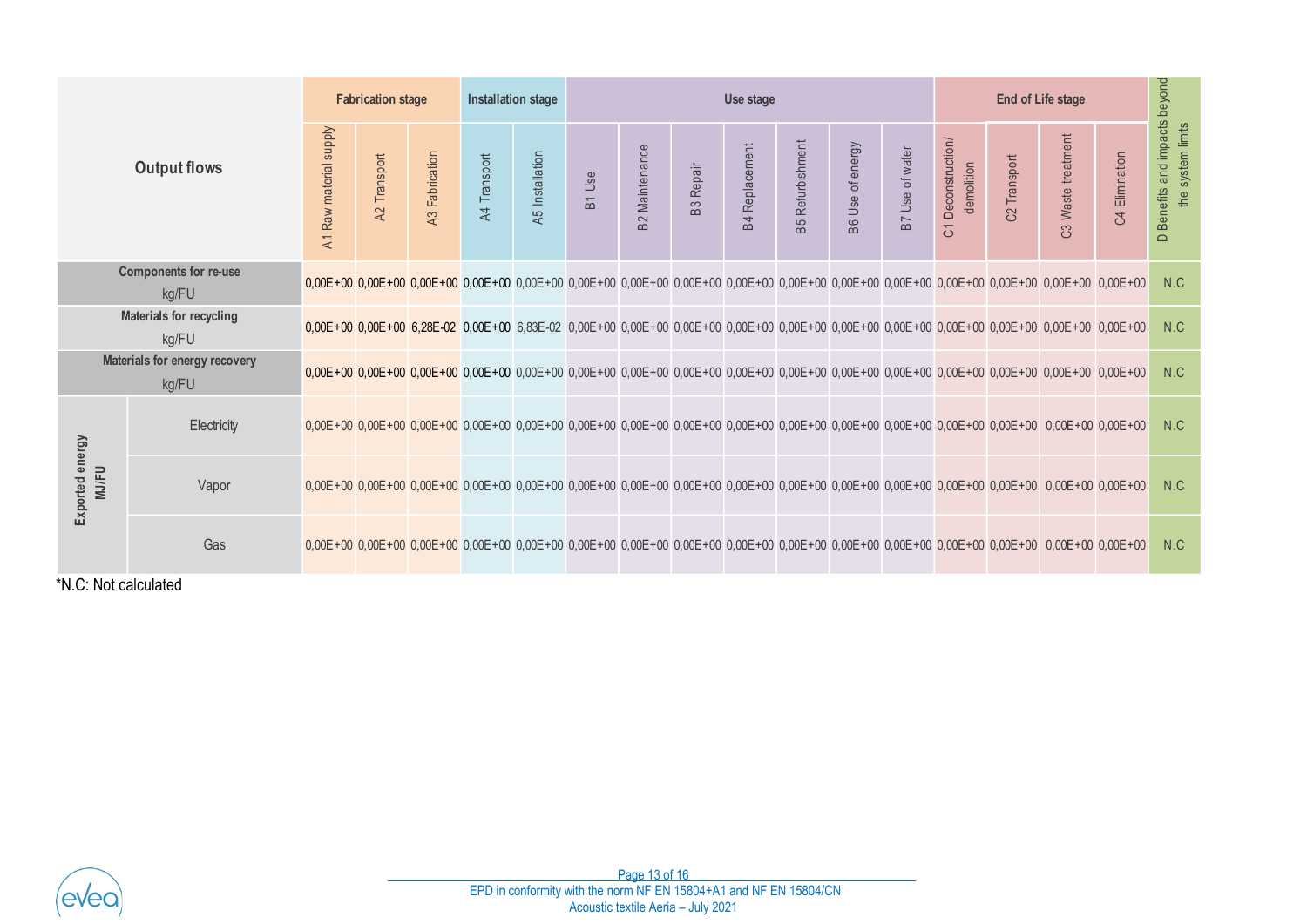|                                                                                    |                                        | <b>Fabrication stage</b> |                 | <b>Installation stage</b> |              | Use stage       |        |                       |                  |                       |                         |                  |                 |                                                 |                          |                                                                                                                                                                            |                |                                                    |
|------------------------------------------------------------------------------------|----------------------------------------|--------------------------|-----------------|---------------------------|--------------|-----------------|--------|-----------------------|------------------|-----------------------|-------------------------|------------------|-----------------|-------------------------------------------------|--------------------------|----------------------------------------------------------------------------------------------------------------------------------------------------------------------------|----------------|----------------------------------------------------|
| <b>Output flows</b>                                                                |                                        | A1 Raw material supply   | Transport<br>A2 | A3 Fabrication            | A4 Transport | A5 Installation | B1 Use | <b>B2</b> Maintenance | <b>B3</b> Repair | <b>B4 Replacement</b> | <b>B5 Refurbishment</b> | B6 Use of energy | B7 Use of water | Deconstruction/<br>demolition<br>$\overline{5}$ | C <sub>2</sub> Transport | C3 Waste treatment                                                                                                                                                         | C4 Elimination | D Benefits and impacts beyond<br>the system limits |
|                                                                                    | <b>Components for re-use</b><br>kg/FU  |                          |                 |                           |              |                 |        |                       |                  |                       |                         |                  |                 |                                                 |                          | 0,00E+00 0,00E+00 0,00E+00 0,00E+00 0,00E+00 0,00E+00 0,00E+00 0,00E+00 0,00E+00 0,00E+00 0,00E+00 0,00E+00 0,00E+00 0,00E+00 0,00E+00 0,00E+00 0,00E+00 0,00E+00 0,00E+00 |                | N.C                                                |
|                                                                                    | Materials for recycling<br>kg/FU       |                          |                 |                           |              |                 |        |                       |                  |                       |                         |                  |                 |                                                 |                          | 0,00E+00 0,00E+00 6,28E-02 0,00E+00 6,83E-02 0,00E+00 6,00E+00 0,00E+00 0,00E+00 0,00E+00 0,00E+00 0,00E+00 0,00E+00 0,00E+00 0,00E+00 0,00E+00 0,00E+00 0,00E+00 0,00E+00 |                | N.C                                                |
|                                                                                    | Materials for energy recovery<br>kg/FU |                          |                 |                           |              |                 |        |                       |                  |                       |                         |                  |                 |                                                 |                          | 0,00E+00 0,00E+00 0,00E+00 0,00E+00 0,00E+00 0,00E+00 0,00E+00 0,00E+00 0,00E+00 0,00E+00 0,00E+00 0,00E+00 0,00E+00 0,00E+00 0,00E+00 0,00E+00 0,00E+00 0,00E+00 0,00E+00 |                | N.C                                                |
|                                                                                    | Electricity                            |                          |                 |                           |              |                 |        |                       |                  |                       |                         |                  |                 |                                                 |                          | 0,00E+00 0,00E+00 0,00E+00 0,00E+00 0,00E+00 0,00E+00 0,00E+00 0,00E+00 0,00E+00 0,00E+00 0,00E+00 0,00E+00 0,00E+00 0,00E+00 0,00E+00 0,00E+00 0,00E+00 0,00E+00 0,00E+00 |                | N.C                                                |
| Exported energy<br><b>MJ/FU</b>                                                    | Vapor                                  |                          |                 |                           |              |                 |        |                       |                  |                       |                         |                  |                 |                                                 |                          | 0,00E+00 0,00E+00 0,00E+00 0,00E+00 0,00E+00 0,00E+00 0,00E+00 0,00E+00 0,00E+00 0,00E+00 0,00E+00 0,00E+00 0,00E+00 0,00E+00 0,00E+00 0,00E+00 0,00E+00 0,00E+00 0,00E+00 |                | N.C                                                |
|                                                                                    | Gas                                    |                          |                 |                           |              |                 |        |                       |                  |                       |                         |                  |                 |                                                 |                          | 0,00E+00 0,00E+00 0,00E+00 0,00E+00 0,00E+00 0,00E+00 0,00E+00 0,00E+00 0,00E+00 0,00E+00 0,00E+00 0,00E+00 0,00E+00 0,00E+00 0,00E+00 0,00E+00 0,00E+00 0,00E+00 0,00E+00 |                | N.C                                                |
| *N.C: Not calculated                                                               |                                        |                          |                 |                           |              |                 |        |                       |                  |                       |                         |                  |                 |                                                 |                          |                                                                                                                                                                            |                |                                                    |
|                                                                                    |                                        |                          |                 |                           |              |                 |        |                       |                  |                       |                         |                  |                 |                                                 |                          |                                                                                                                                                                            |                |                                                    |
|                                                                                    |                                        |                          |                 |                           |              |                 |        |                       |                  |                       |                         |                  |                 |                                                 |                          |                                                                                                                                                                            |                |                                                    |
|                                                                                    |                                        |                          |                 |                           |              |                 |        |                       |                  |                       |                         |                  |                 |                                                 |                          |                                                                                                                                                                            |                |                                                    |
|                                                                                    |                                        |                          |                 |                           |              |                 |        |                       |                  |                       |                         |                  |                 |                                                 |                          |                                                                                                                                                                            |                |                                                    |
| Page 13 of 16<br>EPD in conformity with the norm NF EN 15804+A1 and NF EN 15804/CN |                                        |                          |                 |                           |              |                 |        |                       |                  |                       |                         |                  |                 |                                                 |                          |                                                                                                                                                                            |                |                                                    |
| Acoustic textile Aeria - July 2021                                                 |                                        |                          |                 |                           |              |                 |        |                       |                  |                       |                         |                  |                 |                                                 |                          |                                                                                                                                                                            |                |                                                    |

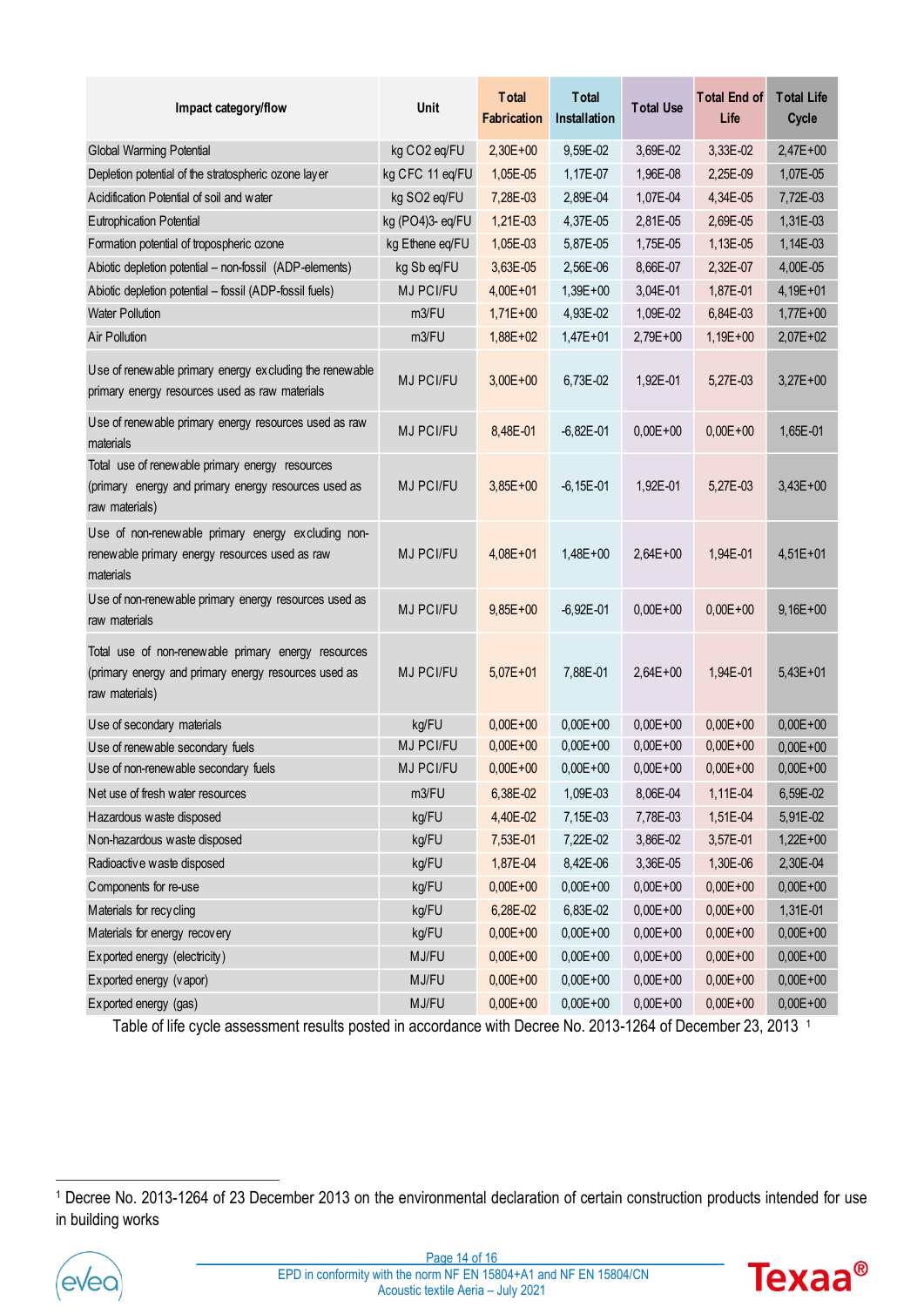| Impact category/flow                                                                                                          | Unit             | <b>T</b> otal<br><b>Fabrication</b> | <b>T</b> otal<br><b>Installation</b> | <b>Total Use</b> | <b>Total End of</b><br>Life | <b>Total Life</b><br>Cycle |
|-------------------------------------------------------------------------------------------------------------------------------|------------------|-------------------------------------|--------------------------------------|------------------|-----------------------------|----------------------------|
| <b>Global Warming Potential</b>                                                                                               | kg CO2 eq/FU     | $2,30E+00$                          | 9,59E-02                             | 3,69E-02         | 3,33E-02                    | $2,47E+00$                 |
| Depletion potential of the stratospheric ozone layer                                                                          | kg CFC 11 eq/FU  | 1,05E-05                            | 1,17E-07                             | 1,96E-08         | 2,25E-09                    | 1,07E-05                   |
| Acidification Potential of soil and water                                                                                     | kg SO2 eq/FU     | 7,28E-03                            | 2,89E-04                             | 1,07E-04         | 4,34E-05                    | 7,72E-03                   |
| <b>Eutrophication Potential</b>                                                                                               | kg (PO4)3- eq/FU | 1,21E-03                            | 4,37E-05                             | 2,81E-05         | 2,69E-05                    | 1,31E-03                   |
| Formation potential of tropospheric ozone                                                                                     | kg Ethene eq/FU  | 1,05E-03                            | 5,87E-05                             | 1,75E-05         | 1,13E-05                    | 1,14E-03                   |
| Abiotic depletion potential - non-fossil (ADP-elements)                                                                       | kg Sb eq/FU      | 3,63E-05                            | 2,56E-06                             | 8,66E-07         | 2,32E-07                    | 4,00E-05                   |
| Abiotic depletion potential - fossil (ADP-fossil fuels)                                                                       | MJ PCI/FU        | $4,00E + 01$                        | $1,39E+00$                           | 3,04E-01         | 1,87E-01                    | $4,19E+01$                 |
| <b>Water Pollution</b>                                                                                                        | m3/FU            | $1,71E+00$                          | 4,93E-02                             | 1,09E-02         | 6,84E-03                    | $1,77E+00$                 |
| Air Pollution                                                                                                                 | m3/FU            | $1,88E + 02$                        | $1,47E + 01$                         | $2,79E+00$       | $1,19E+00$                  | $2,07E+02$                 |
| Use of renewable primary energy excluding the renewable<br>primary energy resources used as raw materials                     | MJ PCI/FU        | $3,00E + 00$                        | 6,73E-02                             | 1,92E-01         | 5,27E-03                    | $3,27E+00$                 |
| Use of renewable primary energy resources used as raw<br>materials                                                            | MJ PCI/FU        | 8,48E-01                            | $-6,82E-01$                          | $0.00E + 00$     | $0.00E + 00$                | 1,65E-01                   |
| Total use of renew able primary energy resources<br>(primary energy and primary energy resources used as<br>raw materials)    | <b>MJ PCI/FU</b> | $3,85E+00$                          | $-6,15E-01$                          | 1,92E-01         | 5,27E-03                    | $3,43E+00$                 |
| Use of non-renewable primary energy excluding non-<br>renewable primary energy resources used as raw<br>materials             | MJ PCI/FU        | $4,08E + 01$                        | $1,48E+00$                           | $2,64E+00$       | 1,94E-01                    | $4,51E+01$                 |
| Use of non-renewable primary energy resources used as<br>raw materials                                                        | <b>MJ PCI/FU</b> | $9,85E+00$                          | $-6,92E-01$                          | $0,00E + 00$     | $0.00E + 00$                | $9,16E+00$                 |
| Total use of non-renewable primary energy resources<br>(primary energy and primary energy resources used as<br>raw materials) | <b>MJ PCI/FU</b> | $5,07E+01$                          | 7,88E-01                             | $2,64E+00$       | 1,94E-01                    | $5,43E+01$                 |
| Use of secondary materials                                                                                                    | kg/FU            | $0,00E + 00$                        | $0,00E + 00$                         | $0,00E + 00$     | $0,00E + 00$                | $0,00E + 00$               |
| Use of renewable secondary fuels                                                                                              | MJ PCI/FU        | $0,00E + 00$                        | $0,00E + 00$                         | $0,00E + 00$     | $0,00E + 00$                | $0,00E + 00$               |
| Use of non-renewable secondary fuels                                                                                          | MJ PCI/FU        | $0,00E + 00$                        | $0,00E + 00$                         | $0,00E + 00$     | $0,00E + 00$                | $0,00E + 00$               |
| Net use of fresh water resources                                                                                              | m3/FU            | 6,38E-02                            | 1,09E-03                             | 8,06E-04         | 1,11E-04                    | 6,59E-02                   |
| Hazardous waste disposed                                                                                                      | kg/FU            | 4,40E-02                            | 7,15E-03                             | 7,78E-03         | 1,51E-04                    | 5,91E-02                   |
| Non-hazardous waste disposed                                                                                                  | kg/FU            | 7,53E-01                            | 7,22E-02                             | 3,86E-02         | 3,57E-01                    | $1,22E+00$                 |
| Radioactive waste disposed                                                                                                    | kg/FU            | 1,87E-04                            | 8,42E-06                             | 3,36E-05         | 1,30E-06                    | 2,30E-04                   |
| Components for re-use                                                                                                         | kg/FU            | $0,00E + 00$                        | $0,00E + 00$                         | $0,00E + 00$     | $0,00E + 00$                | $0,00E + 00$               |
| Materials for recycling                                                                                                       | kg/FU            | 6,28E-02                            | 6,83E-02                             | $0,00E + 00$     | $0,00E + 00$                | 1,31E-01                   |
| Materials for energy recovery                                                                                                 | kg/FU            | $0,00E + 00$                        | $0,00E + 00$                         | $0,00E + 00$     | $0,00E + 00$                | $0,00E + 00$               |
| Exported energy (electricity)                                                                                                 | MJ/FU            | $0,00E + 00$                        | $0,00E + 00$                         | $0,00E + 00$     | $0,00E + 00$                | $0,00E + 00$               |
| Exported energy (vapor)                                                                                                       | MJ/FU            | $0,00E + 00$                        | $0,00E + 00$                         | $0,00E + 00$     | $0,00E + 00$                | $0,00E + 00$               |
| Exported energy (gas)                                                                                                         | MJ/FU            | $0,00E + 00$                        | $0,00E + 00$                         | $0,00E + 00$     | $0,00E + 00$                | $0,00E + 00$               |

Table of life cycle assessment results posted in accordance with Decree No. 2013-1264 of December 23, 2013 1

<sup>1</sup> Decree No. 2013-1264 of 23 December 2013 on the environmental declaration of certain construction products intended for use in building works



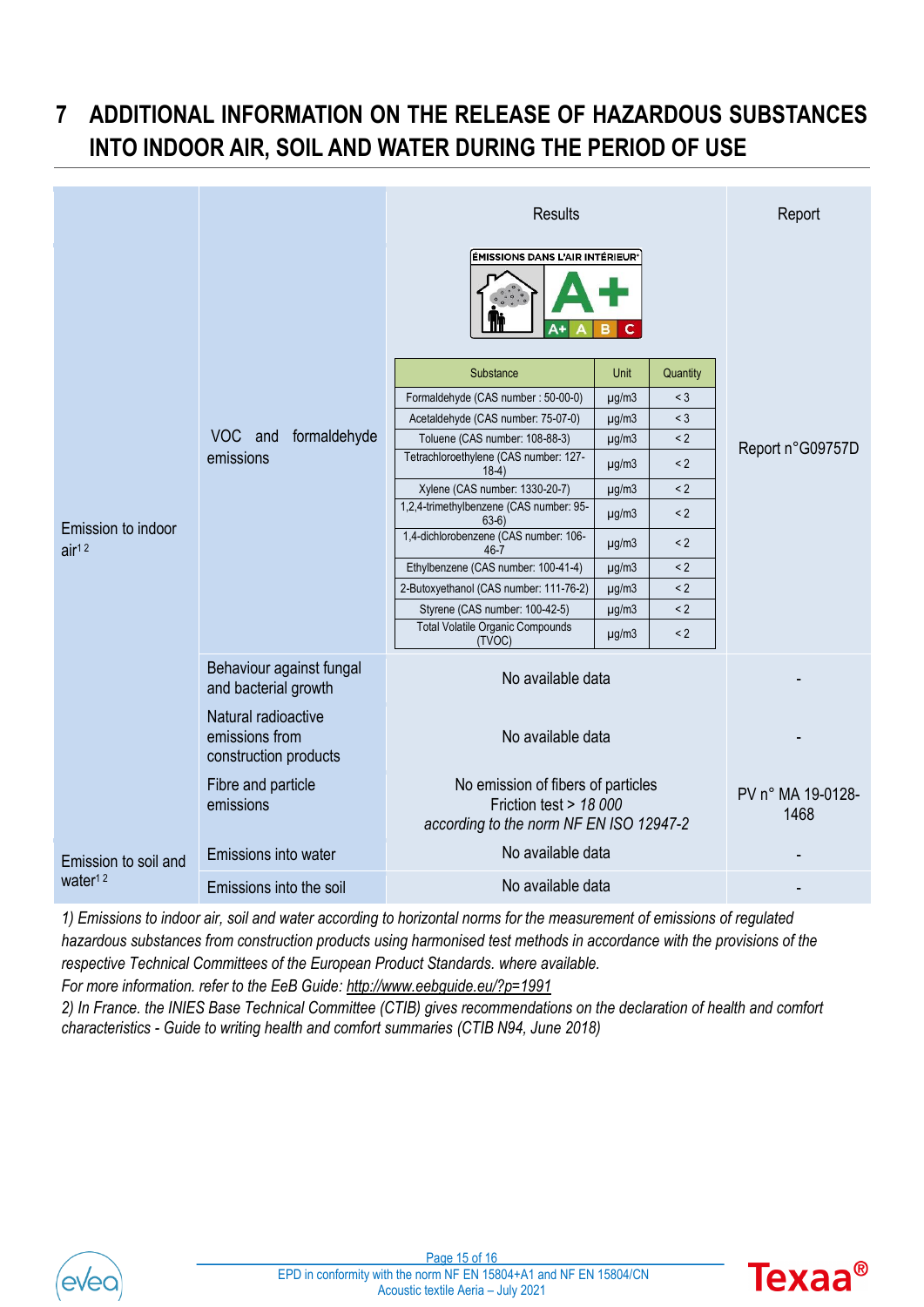# <span id="page-14-0"></span>**7 ADDITIONAL INFORMATION ON THE RELEASE OF HAZARDOUS SUBSTANCES INTO INDOOR AIR, SOIL AND WATER DURING THE PERIOD OF USE**

|                                         |                                                                | <b>Results</b>                                                                                          | Report                    |          |                  |  |  |
|-----------------------------------------|----------------------------------------------------------------|---------------------------------------------------------------------------------------------------------|---------------------------|----------|------------------|--|--|
|                                         |                                                                | ÉMISSIONS DANS L'AIR INTÉRIEUR®                                                                         |                           |          |                  |  |  |
|                                         |                                                                | Substance                                                                                               | Quantity                  |          |                  |  |  |
|                                         |                                                                | Formaldehyde (CAS number: 50-00-0)                                                                      | $<$ 3<br>$\mu$ g/m $3$    |          |                  |  |  |
|                                         |                                                                | Acetaldehyde (CAS number: 75-07-0)                                                                      | $<$ 3                     |          |                  |  |  |
|                                         | formaldehyde<br>VOC and                                        | Toluene (CAS number: 108-88-3)                                                                          | $\mu$ g/m $3$             | $\leq$ 2 | Report n°G09757D |  |  |
| Emission to indoor<br>air <sup>12</sup> | emissions                                                      | Tetrachloroethylene (CAS number: 127-<br>$18-4)$                                                        | $\mu$ g/m $3$             | < 2      |                  |  |  |
|                                         |                                                                | Xylene (CAS number: 1330-20-7)                                                                          | $\mu$ g/m $3$             | < 2      |                  |  |  |
|                                         |                                                                | 1,2,4-trimethylbenzene (CAS number: 95-<br>$63-6)$                                                      | < 2                       |          |                  |  |  |
|                                         |                                                                | 1,4-dichlorobenzene (CAS number: 106-<br>46-7                                                           | $\mu$ g/m $3$             | $\leq$ 2 |                  |  |  |
|                                         |                                                                | Ethylbenzene (CAS number: 100-41-4)                                                                     | $\mu$ g/m $3$             | < 2      |                  |  |  |
|                                         |                                                                | 2-Butoxyethanol (CAS number: 111-76-2)                                                                  | $\mu$ g/m $3$             | $\leq$ 2 |                  |  |  |
|                                         |                                                                | Styrene (CAS number: 100-42-5)                                                                          | $\mu$ g/m $3$             | $\leq$ 2 |                  |  |  |
|                                         |                                                                | <b>Total Volatile Organic Compounds</b><br>(TVOC)                                                       | $\mu$ g/m $3$             | < 2      |                  |  |  |
|                                         | Behaviour against fungal<br>and bacterial growth               | No available data                                                                                       |                           |          |                  |  |  |
|                                         | Natural radioactive<br>emissions from<br>construction products | No available data                                                                                       |                           |          |                  |  |  |
|                                         | Fibre and particle<br>emissions                                | No emission of fibers of particles<br>Friction test > 18 000<br>according to the norm NF EN ISO 12947-2 | PV n° MA 19-0128-<br>1468 |          |                  |  |  |
| Emission to soil and                    | Emissions into water                                           | No available data                                                                                       |                           |          |                  |  |  |
| water <sup>12</sup>                     | Emissions into the soil                                        | No available data                                                                                       |                           |          |                  |  |  |

*1) Emissions to indoor air, soil and water according to horizontal norms for the measurement of emissions of regulated hazardous substances from construction products using harmonised test methods in accordance with the provisions of the respective Technical Committees of the European Product Standards. where available.*

*For more information. refer to the EeB Guide:<http://www.eebguide.eu/?p=1991>*

*2) In France. the INIES Base Technical Committee (CTIB) gives recommendations on the declaration of health and comfort characteristics - Guide to writing health and comfort summaries (CTIB N94, June 2018)*